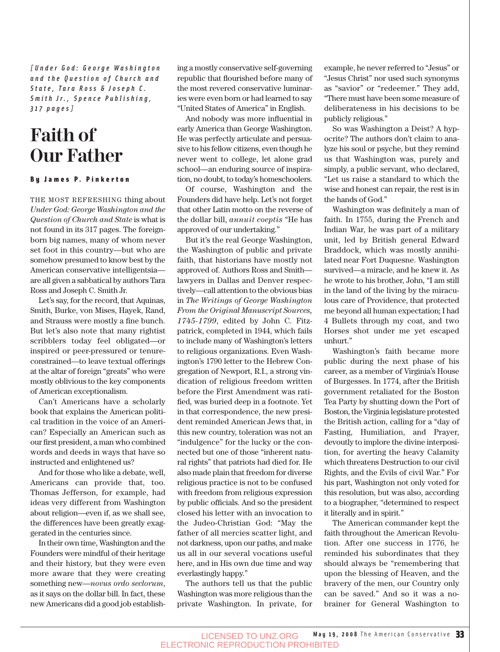*[Under God: George Washington and the Question of Church and State, Tara Ross & Joseph C. Smith Jr., Spence Publishing, 317 pages]*

## **Faith of Our Father**

#### By James P. Pinkerton

THE MOST REFRESHING thing about *Under God: George Washington and the Question of Church and State* is what is not found in its 317 pages. The foreignborn big names, many of whom never set foot in this country—but who are somehow presumed to know best by the American conservative intelligentsia are all given a sabbatical by authors Tara Ross and Joseph C. Smith Jr.

Let's say, for the record, that Aquinas, Smith, Burke, von Mises, Hayek, Rand, and Strauss were mostly a fine bunch. But let's also note that many rightist scribblers today feel obligated—or inspired or peer-pressured or tenureconstrained—to leave textual offerings at the altar of foreign "greats" who were mostly oblivious to the key components of American exceptionalism.

Can't Americans have a scholarly book that explains the American political tradition in the voice of an American? Especially an American such as our first president, a man who combined words and deeds in ways that have so instructed and enlightened us?

And for those who like a debate, well, Americans can provide that, too. Thomas Jefferson, for example, had ideas very different from Washington about religion—even if, as we shall see, the differences have been greatly exaggerated in the centuries since.

In their own time, Washington and the Founders were mindful of their heritage and their history, but they were even more aware that they were creating something new—*novus ordo seclorum*, as it says on the dollar bill. In fact, these new Americans did a good job establishing a mostly conservative self-governing republic that flourished before many of the most revered conservative luminaries were even born or had learned to say "United States of America" in English.

And nobody was more influential in early America than George Washington. He was perfectly articulate and persuasive to his fellow citizens, even though he never went to college, let alone grad school—an enduring source of inspiration, no doubt, to today's homeschoolers.

Of course, Washington and the Founders did have help. Let's not forget that other Latin motto on the reverse of the dollar bill, *annuit coeptis* "He has approved of our undertaking."

But it's the real George Washington, the Washington of public and private faith, that historians have mostly not approved of. Authors Ross and Smith lawyers in Dallas and Denver respectively—call attention to the obvious bias in *The Writings of George Washington From the Original Manuscript Sources, 1745-1799*, edited by John C. Fitzpatrick, completed in 1944, which fails to include many of Washington's letters to religious organizations. Even Washington's 1790 letter to the Hebrew Congregation of Newport, R.I., a strong vindication of religious freedom written before the First Amendment was ratified, was buried deep in a footnote. Yet in that correspondence, the new president reminded American Jews that, in this new country, toleration was not an "indulgence" for the lucky or the connected but one of those "inherent natural rights" that patriots had died for. He also made plain that freedom for diverse religious practice is not to be confused with freedom from religious expression by public officials. And so the president closed his letter with an invocation to the Judeo-Christian God: "May the father of all mercies scatter light, and not darkness, upon our paths, and make us all in our several vocations useful here, and in His own due time and way everlastingly happy."

The authors tell us that the public Washington was more religious than the private Washington. In private, for example, he never referred to "Jesus" or "Jesus Christ" nor used such synonyms as "savior" or "redeemer." They add, "There must have been some measure of deliberateness in his decisions to be publicly religious."

So was Washington a Deist? A hypocrite? The authors don't claim to analyze his soul or psyche, but they remind us that Washington was, purely and simply, a public servant, who declared, "Let us raise a standard to which the wise and honest can repair, the rest is in the hands of God."

Washington was definitely a man of faith. In 1755, during the French and Indian War, he was part of a military unit, led by British general Edward Braddock, which was mostly annihilated near Fort Duquesne. Washington survived—a miracle, and he knew it. As he wrote to his brother, John, "I am still in the land of the living by the miraculous care of Providence, that protected me beyond all human expectation; I had 4 Bullets through my coat, and two Horses shot under me yet escaped unhurt."

Washington's faith became more public during the next phase of his career, as a member of Virginia's House of Burgesses. In 1774, after the British government retaliated for the Boston Tea Party by shutting down the Port of Boston, the Virginia legislature protested the British action, calling for a "day of Fasting, Humiliation, and Prayer, devoutly to implore the divine interposition, for averting the heavy Calamity which threatens Destruction to our civil Rights, and the Evils of civil War." For his part, Washington not only voted for this resolution, but was also, according to a biographer, "determined to respect it literally and in spirit."

The American commander kept the faith throughout the American Revolution. After one success in 1776, he reminded his subordinates that they should always be "remembering that upon the blessing of Heaven, and the bravery of the men, our Country only can be saved." And so it was a nobrainer for General Washington to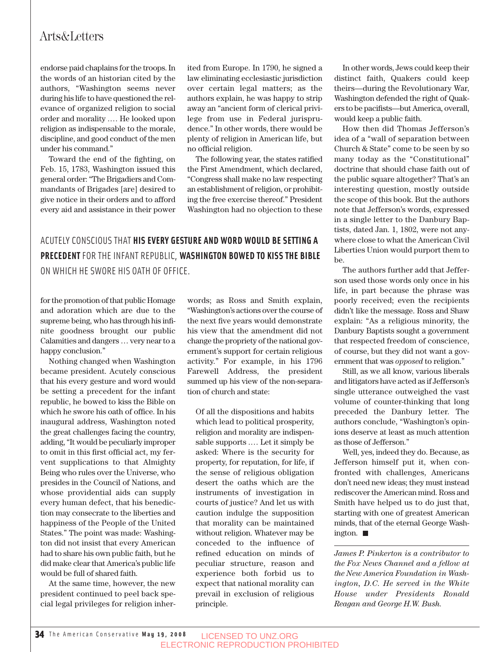#### Arts&Letters

endorse paid chaplains for the troops. In the words of an historian cited by the authors, "Washington seems never during his life to have questioned the relevance of organized religion to social order and morality .… He looked upon religion as indispensable to the morale, discipline, and good conduct of the men under his command."

Toward the end of the fighting, on Feb. 15, 1783, Washington issued this general order: "The Brigadiers and Commandants of Brigades [are] desired to give notice in their orders and to afford every aid and assistance in their power ited from Europe. In 1790, he signed a law eliminating ecclesiastic jurisdiction over certain legal matters; as the authors explain, he was happy to strip away an "ancient form of clerical privilege from use in Federal jurisprudence." In other words, there would be plenty of religion in American life, but no official religion.

The following year, the states ratified the First Amendment, which declared, "Congress shall make no law respecting an establishment of religion, or prohibiting the free exercise thereof." President Washington had no objection to these

### ACUTELY CONSCIOUS THAT **HIS EVERY GESTURE AND WORD WOULD BE SETTING A PRECEDENT** FOR THE INFANT REPUBLIC, **WASHINGTON BOWED TO KISS THE BIBLE** ON WHICH HE SWORE HIS OATH OF OFFICE.

for the promotion of that public Homage and adoration which are due to the supreme being, who has through his infinite goodness brought our public Calamities and dangers … very near to a happy conclusion."

Nothing changed when Washington became president. Acutely conscious that his every gesture and word would be setting a precedent for the infant republic, he bowed to kiss the Bible on which he swore his oath of office. In his inaugural address, Washington noted the great challenges facing the country, adding, "It would be peculiarly improper to omit in this first official act, my fervent supplications to that Almighty Being who rules over the Universe, who presides in the Council of Nations, and whose providential aids can supply every human defect, that his benediction may consecrate to the liberties and happiness of the People of the United States." The point was made: Washington did not insist that every American had to share his own public faith, but he did make clear that America's public life would be full of shared faith.

At the same time, however, the new president continued to peel back special legal privileges for religion inher-

words; as Ross and Smith explain, "Washington's actions over the course of the next five years would demonstrate his view that the amendment did not change the propriety of the national government's support for certain religious activity." For example, in his 1796 Farewell Address, the president summed up his view of the non-separation of church and state:

Of all the dispositions and habits which lead to political prosperity, religion and morality are indispensable supports .… Let it simply be asked: Where is the security for property, for reputation, for life, if the sense of religious obligation desert the oaths which are the instruments of investigation in courts of justice? And let us with caution indulge the supposition that morality can be maintained without religion. Whatever may be conceded to the influence of refined education on minds of peculiar structure, reason and experience both forbid us to expect that national morality can prevail in exclusion of religious principle.

In other words, Jews could keep their distinct faith, Quakers could keep theirs—during the Revolutionary War, Washington defended the right of Quakers to be pacifists—but America, overall, would keep a public faith.

How then did Thomas Jefferson's idea of a "wall of separation between Church & State" come to be seen by so many today as the "Constitutional" doctrine that should chase faith out of the public square altogether? That's an interesting question, mostly outside the scope of this book. But the authors note that Jefferson's words, expressed in a single letter to the Danbury Baptists, dated Jan. 1, 1802, were not anywhere close to what the American Civil Liberties Union would purport them to be.

The authors further add that Jefferson used those words only once in his life, in part because the phrase was poorly received; even the recipients didn't like the message. Ross and Shaw explain: "As a religious minority, the Danbury Baptists sought a government that respected freedom of conscience, of course, but they did not want a government that was *opposed* to religion."

Still, as we all know, various liberals and litigators have acted as if Jefferson's single utterance outweighed the vast volume of counter-thinking that long preceded the Danbury letter. The authors conclude, "Washington's opinions deserve at least as much attention as those of Jefferson."

Well, yes, indeed they do. Because, as Jefferson himself put it, when confronted with challenges, Americans don't need new ideas; they must instead rediscover the American mind. Ross and Smith have helped us to do just that, starting with one of greatest American minds, that of the eternal George Washington.

*James P. Pinkerton is a contributor to the Fox News Channel and a fellow at the New America Foundation in Washington, D.C. He served in the White House under Presidents Ronald Reagan and George H.W. Bush.*